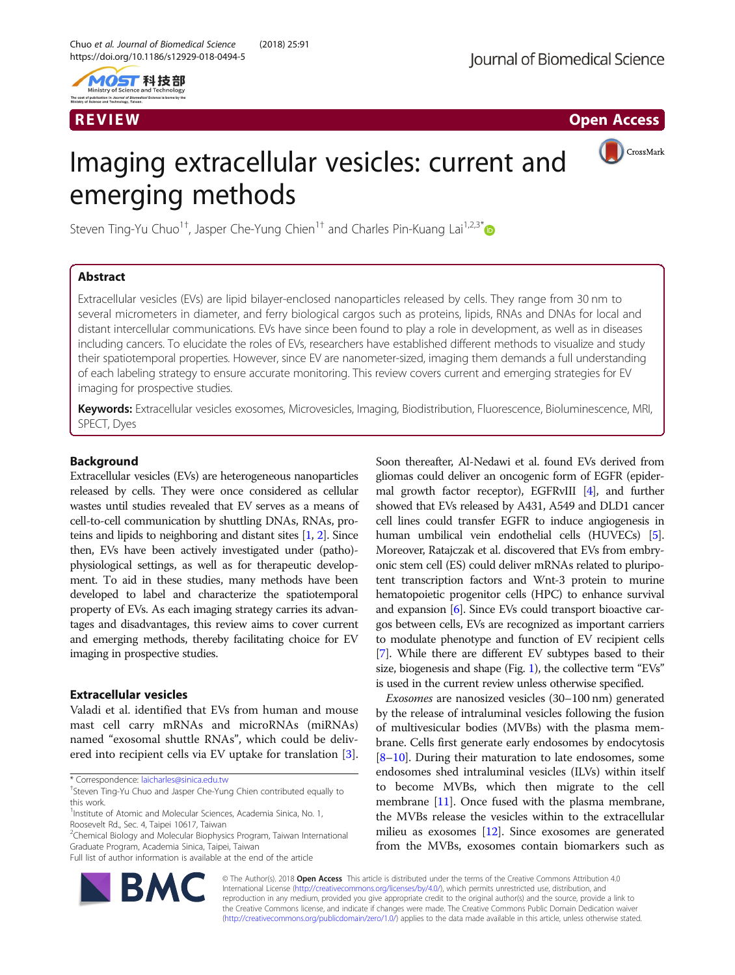

R EVI EW Open Access and the contract of the contract of the contract of the contract of the contract of the c

CrossMark

# Imaging extracellular vesicles: current and emerging methods

Steven Ting-Yu Chuo<sup>1†</sup>, Jasper Che-Yung Chien<sup>1†</sup> and Charles Pin-Kuang Lai<sup>1,2,3[\\*](http://orcid.org/0000-0001-8050-7060)</sup>

# Abstract

Extracellular vesicles (EVs) are lipid bilayer-enclosed nanoparticles released by cells. They range from 30 nm to several micrometers in diameter, and ferry biological cargos such as proteins, lipids, RNAs and DNAs for local and distant intercellular communications. EVs have since been found to play a role in development, as well as in diseases including cancers. To elucidate the roles of EVs, researchers have established different methods to visualize and study their spatiotemporal properties. However, since EV are nanometer-sized, imaging them demands a full understanding of each labeling strategy to ensure accurate monitoring. This review covers current and emerging strategies for EV imaging for prospective studies.

Keywords: Extracellular vesicles exosomes, Microvesicles, Imaging, Biodistribution, Fluorescence, Bioluminescence, MRI, SPECT, Dyes

# Background

Extracellular vesicles (EVs) are heterogeneous nanoparticles released by cells. They were once considered as cellular wastes until studies revealed that EV serves as a means of cell-to-cell communication by shuttling DNAs, RNAs, proteins and lipids to neighboring and distant sites [[1](#page-7-0), [2\]](#page-7-0). Since then, EVs have been actively investigated under (patho) physiological settings, as well as for therapeutic development. To aid in these studies, many methods have been developed to label and characterize the spatiotemporal property of EVs. As each imaging strategy carries its advantages and disadvantages, this review aims to cover current and emerging methods, thereby facilitating choice for EV imaging in prospective studies.

# Extracellular vesicles

Valadi et al. identified that EVs from human and mouse mast cell carry mRNAs and microRNAs (miRNAs) named "exosomal shuttle RNAs", which could be delivered into recipient cells via EV uptake for translation [\[3](#page-7-0)].

\* Correspondence: [laicharles@sinica.edu.tw](mailto:laicharles@sinica.edu.tw) †

<sup>2</sup>Chemical Biology and Molecular Biophysics Program, Taiwan International Graduate Program, Academia Sinica, Taipei, Taiwan

Full list of author information is available at the end of the article



Soon thereafter, Al-Nedawi et al. found EVs derived from gliomas could deliver an oncogenic form of EGFR (epidermal growth factor receptor), EGFRvIII [[4](#page-7-0)], and further showed that EVs released by A431, A549 and DLD1 cancer cell lines could transfer EGFR to induce angiogenesis in human umbilical vein endothelial cells (HUVECs) [[5](#page-7-0)]. Moreover, Ratajczak et al. discovered that EVs from embryonic stem cell (ES) could deliver mRNAs related to pluripotent transcription factors and Wnt-3 protein to murine hematopoietic progenitor cells (HPC) to enhance survival and expansion [[6](#page-7-0)]. Since EVs could transport bioactive cargos between cells, EVs are recognized as important carriers to modulate phenotype and function of EV recipient cells [[7](#page-7-0)]. While there are different EV subtypes based to their size, biogenesis and shape (Fig. [1](#page-1-0)), the collective term "EVs" is used in the current review unless otherwise specified.

Exosomes are nanosized vesicles (30–100 nm) generated by the release of intraluminal vesicles following the fusion of multivesicular bodies (MVBs) with the plasma membrane. Cells first generate early endosomes by endocytosis [[8](#page-7-0)–[10](#page-7-0)]. During their maturation to late endosomes, some endosomes shed intraluminal vesicles (ILVs) within itself to become MVBs, which then migrate to the cell membrane [[11](#page-7-0)]. Once fused with the plasma membrane, the MVBs release the vesicles within to the extracellular milieu as exosomes [[12](#page-7-0)]. Since exosomes are generated from the MVBs, exosomes contain biomarkers such as

© The Author(s). 2018 Open Access This article is distributed under the terms of the Creative Commons Attribution 4.0 International License [\(http://creativecommons.org/licenses/by/4.0/](http://creativecommons.org/licenses/by/4.0/)), which permits unrestricted use, distribution, and reproduction in any medium, provided you give appropriate credit to the original author(s) and the source, provide a link to the Creative Commons license, and indicate if changes were made. The Creative Commons Public Domain Dedication waiver [\(http://creativecommons.org/publicdomain/zero/1.0/](http://creativecommons.org/publicdomain/zero/1.0/)) applies to the data made available in this article, unless otherwise stated.

<sup>&</sup>lt;sup>+</sup>Steven Ting-Yu Chuo and Jasper Che-Yung Chien contributed equally to this work.

<sup>&</sup>lt;sup>1</sup>Institute of Atomic and Molecular Sciences, Academia Sinica, No. 1, Roosevelt Rd., Sec. 4, Taipei 10617, Taiwan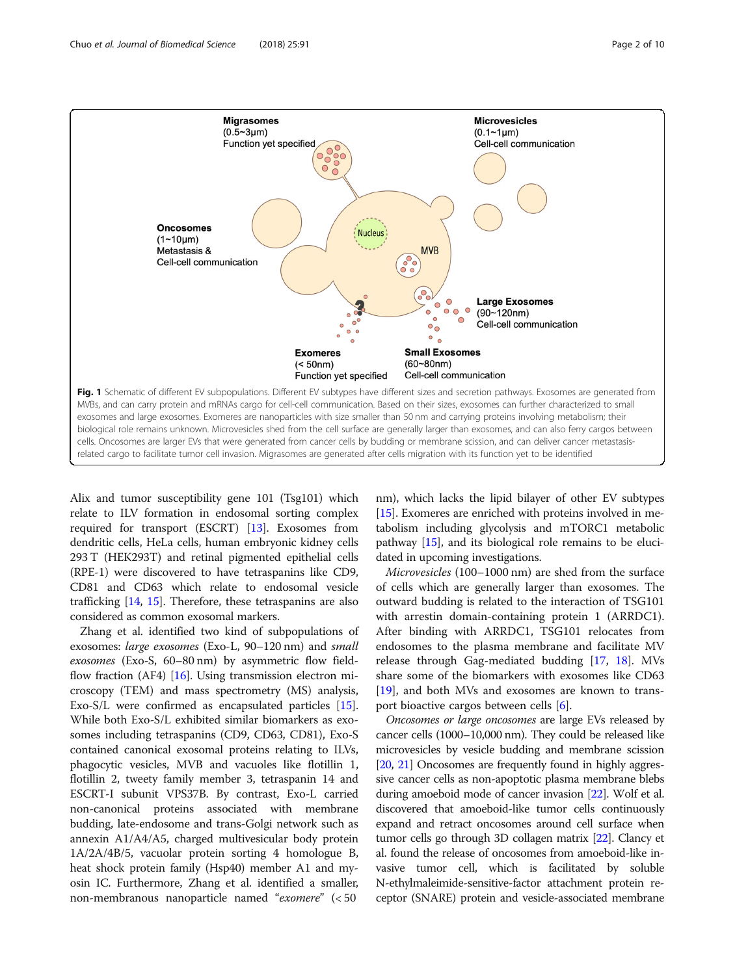<span id="page-1-0"></span>

Alix and tumor susceptibility gene 101 (Tsg101) which relate to ILV formation in endosomal sorting complex required for transport (ESCRT) [\[13\]](#page-7-0). Exosomes from dendritic cells, HeLa cells, human embryonic kidney cells 293 T (HEK293T) and retinal pigmented epithelial cells (RPE-1) were discovered to have tetraspanins like CD9, CD81 and CD63 which relate to endosomal vesicle trafficking [\[14,](#page-7-0) [15\]](#page-7-0). Therefore, these tetraspanins are also considered as common exosomal markers.

Zhang et al. identified two kind of subpopulations of exosomes: large exosomes (Exo-L, 90–120 nm) and small exosomes (Exo-S, 60–80 nm) by asymmetric flow fieldflow fraction (AF4) [\[16\]](#page-7-0). Using transmission electron microscopy (TEM) and mass spectrometry (MS) analysis, Exo-S/L were confirmed as encapsulated particles [[15](#page-7-0)]. While both Exo-S/L exhibited similar biomarkers as exosomes including tetraspanins (CD9, CD63, CD81), Exo-S contained canonical exosomal proteins relating to ILVs, phagocytic vesicles, MVB and vacuoles like flotillin 1, flotillin 2, tweety family member 3, tetraspanin 14 and ESCRT-I subunit VPS37B. By contrast, Exo-L carried non-canonical proteins associated with membrane budding, late-endosome and trans-Golgi network such as annexin A1/A4/A5, charged multivesicular body protein 1A/2A/4B/5, vacuolar protein sorting 4 homologue B, heat shock protein family (Hsp40) member A1 and myosin IC. Furthermore, Zhang et al. identified a smaller, non-membranous nanoparticle named "exomere" (< 50

nm), which lacks the lipid bilayer of other EV subtypes [[15](#page-7-0)]. Exomeres are enriched with proteins involved in metabolism including glycolysis and mTORC1 metabolic pathway [[15](#page-7-0)], and its biological role remains to be elucidated in upcoming investigations.

Microvesicles (100–1000 nm) are shed from the surface of cells which are generally larger than exosomes. The outward budding is related to the interaction of TSG101 with arrestin domain-containing protein 1 (ARRDC1). After binding with ARRDC1, TSG101 relocates from endosomes to the plasma membrane and facilitate MV release through Gag-mediated budding [\[17](#page-7-0), [18\]](#page-7-0). MVs share some of the biomarkers with exosomes like CD63 [[19\]](#page-7-0), and both MVs and exosomes are known to transport bioactive cargos between cells [\[6](#page-7-0)].

Oncosomes or large oncosomes are large EVs released by cancer cells (1000–10,000 nm). They could be released like microvesicles by vesicle budding and membrane scission [[20](#page-7-0), [21\]](#page-7-0) Oncosomes are frequently found in highly aggressive cancer cells as non-apoptotic plasma membrane blebs during amoeboid mode of cancer invasion [\[22\]](#page-7-0). Wolf et al. discovered that amoeboid-like tumor cells continuously expand and retract oncosomes around cell surface when tumor cells go through 3D collagen matrix [\[22\]](#page-7-0). Clancy et al. found the release of oncosomes from amoeboid-like invasive tumor cell, which is facilitated by soluble N-ethylmaleimide-sensitive-factor attachment protein receptor (SNARE) protein and vesicle-associated membrane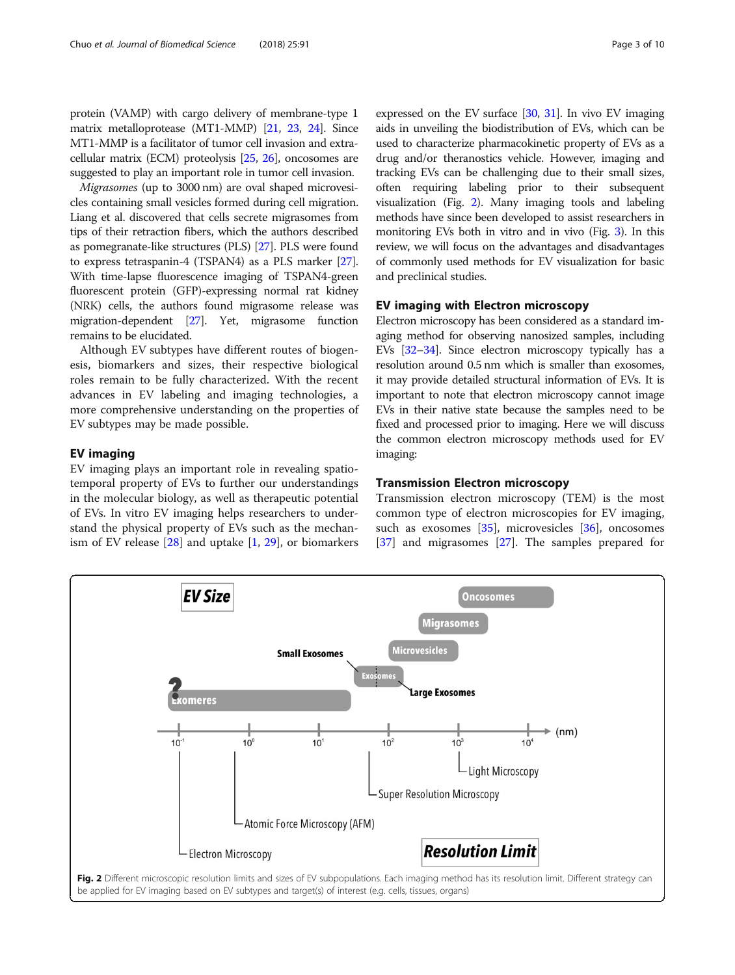protein (VAMP) with cargo delivery of membrane-type 1 matrix metalloprotease (MT1-MMP) [\[21,](#page-7-0) [23,](#page-7-0) [24](#page-7-0)]. Since MT1-MMP is a facilitator of tumor cell invasion and extracellular matrix (ECM) proteolysis [[25](#page-7-0), [26](#page-8-0)], oncosomes are suggested to play an important role in tumor cell invasion.

Migrasomes (up to 3000 nm) are oval shaped microvesicles containing small vesicles formed during cell migration. Liang et al. discovered that cells secrete migrasomes from tips of their retraction fibers, which the authors described as pomegranate-like structures (PLS) [\[27\]](#page-8-0). PLS were found to express tetraspanin-4 (TSPAN4) as a PLS marker [\[27](#page-8-0)]. With time-lapse fluorescence imaging of TSPAN4-green fluorescent protein (GFP)-expressing normal rat kidney (NRK) cells, the authors found migrasome release was migration-dependent [\[27\]](#page-8-0). Yet, migrasome function remains to be elucidated.

Although EV subtypes have different routes of biogenesis, biomarkers and sizes, their respective biological roles remain to be fully characterized. With the recent advances in EV labeling and imaging technologies, a more comprehensive understanding on the properties of EV subtypes may be made possible.

# EV imaging

EV imaging plays an important role in revealing spatiotemporal property of EVs to further our understandings in the molecular biology, as well as therapeutic potential of EVs. In vitro EV imaging helps researchers to understand the physical property of EVs such as the mechanism of EV release  $[28]$  $[28]$  and uptake  $[1, 29]$  $[1, 29]$  $[1, 29]$  $[1, 29]$  $[1, 29]$ , or biomarkers expressed on the EV surface [\[30,](#page-8-0) [31\]](#page-8-0). In vivo EV imaging aids in unveiling the biodistribution of EVs, which can be used to characterize pharmacokinetic property of EVs as a drug and/or theranostics vehicle. However, imaging and tracking EVs can be challenging due to their small sizes, often requiring labeling prior to their subsequent visualization (Fig. 2). Many imaging tools and labeling methods have since been developed to assist researchers in monitoring EVs both in vitro and in vivo (Fig. [3](#page-3-0)). In this review, we will focus on the advantages and disadvantages of commonly used methods for EV visualization for basic and preclinical studies.

# EV imaging with Electron microscopy

Electron microscopy has been considered as a standard imaging method for observing nanosized samples, including EVs [\[32](#page-8-0)–[34\]](#page-8-0). Since electron microscopy typically has a resolution around 0.5 nm which is smaller than exosomes, it may provide detailed structural information of EVs. It is important to note that electron microscopy cannot image EVs in their native state because the samples need to be fixed and processed prior to imaging. Here we will discuss the common electron microscopy methods used for EV imaging:

# Transmission Electron microscopy

Transmission electron microscopy (TEM) is the most common type of electron microscopies for EV imaging, such as exosomes  $[35]$ , microvesicles  $[36]$  $[36]$ , oncosomes [[37\]](#page-8-0) and migrasomes [[27\]](#page-8-0). The samples prepared for

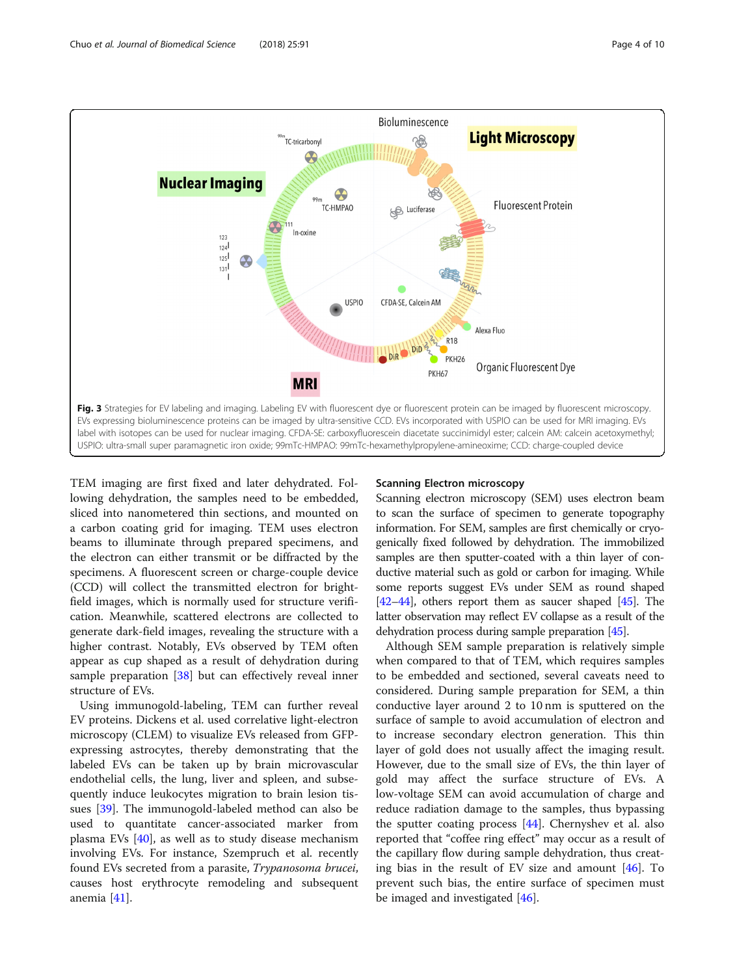<span id="page-3-0"></span>

TEM imaging are first fixed and later dehydrated. Following dehydration, the samples need to be embedded, sliced into nanometered thin sections, and mounted on a carbon coating grid for imaging. TEM uses electron beams to illuminate through prepared specimens, and the electron can either transmit or be diffracted by the specimens. A fluorescent screen or charge-couple device (CCD) will collect the transmitted electron for brightfield images, which is normally used for structure verification. Meanwhile, scattered electrons are collected to generate dark-field images, revealing the structure with a higher contrast. Notably, EVs observed by TEM often appear as cup shaped as a result of dehydration during sample preparation [[38](#page-8-0)] but can effectively reveal inner structure of EVs.

Using immunogold-labeling, TEM can further reveal EV proteins. Dickens et al. used correlative light-electron microscopy (CLEM) to visualize EVs released from GFPexpressing astrocytes, thereby demonstrating that the labeled EVs can be taken up by brain microvascular endothelial cells, the lung, liver and spleen, and subsequently induce leukocytes migration to brain lesion tissues [[39\]](#page-8-0). The immunogold-labeled method can also be used to quantitate cancer-associated marker from plasma EVs [\[40\]](#page-8-0), as well as to study disease mechanism involving EVs. For instance, Szempruch et al. recently found EVs secreted from a parasite, Trypanosoma brucei, causes host erythrocyte remodeling and subsequent anemia [\[41\]](#page-8-0).

# Scanning Electron microscopy

Scanning electron microscopy (SEM) uses electron beam to scan the surface of specimen to generate topography information. For SEM, samples are first chemically or cryogenically fixed followed by dehydration. The immobilized samples are then sputter-coated with a thin layer of conductive material such as gold or carbon for imaging. While some reports suggest EVs under SEM as round shaped [[42](#page-8-0)–[44](#page-8-0)], others report them as saucer shaped [\[45\]](#page-8-0). The latter observation may reflect EV collapse as a result of the dehydration process during sample preparation [\[45\]](#page-8-0).

Although SEM sample preparation is relatively simple when compared to that of TEM, which requires samples to be embedded and sectioned, several caveats need to considered. During sample preparation for SEM, a thin conductive layer around 2 to 10 nm is sputtered on the surface of sample to avoid accumulation of electron and to increase secondary electron generation. This thin layer of gold does not usually affect the imaging result. However, due to the small size of EVs, the thin layer of gold may affect the surface structure of EVs. A low-voltage SEM can avoid accumulation of charge and reduce radiation damage to the samples, thus bypassing the sputter coating process [\[44](#page-8-0)]. Chernyshev et al. also reported that "coffee ring effect" may occur as a result of the capillary flow during sample dehydration, thus creating bias in the result of EV size and amount [\[46](#page-8-0)]. To prevent such bias, the entire surface of specimen must be imaged and investigated [[46\]](#page-8-0).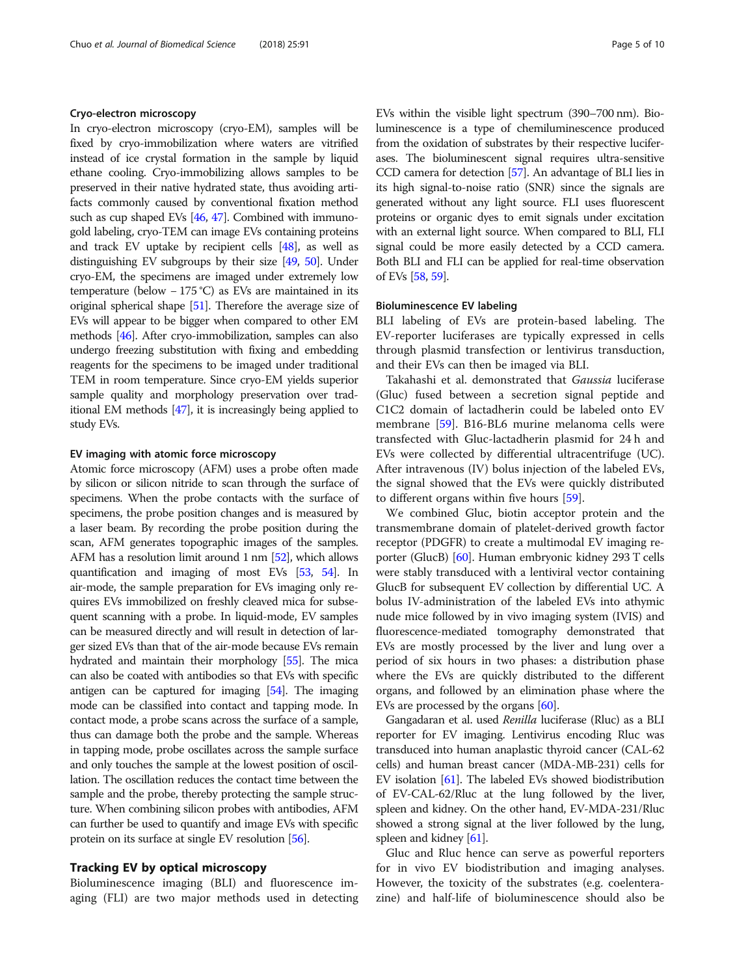# Cryo-electron microscopy

In cryo-electron microscopy (cryo-EM), samples will be fixed by cryo-immobilization where waters are vitrified instead of ice crystal formation in the sample by liquid ethane cooling. Cryo-immobilizing allows samples to be preserved in their native hydrated state, thus avoiding artifacts commonly caused by conventional fixation method such as cup shaped EVs [\[46,](#page-8-0) [47](#page-8-0)]. Combined with immunogold labeling, cryo-TEM can image EVs containing proteins and track EV uptake by recipient cells [[48](#page-8-0)], as well as distinguishing EV subgroups by their size [[49,](#page-8-0) [50](#page-8-0)]. Under cryo-EM, the specimens are imaged under extremely low temperature (below − 175 °C) as EVs are maintained in its original spherical shape [\[51\]](#page-8-0). Therefore the average size of EVs will appear to be bigger when compared to other EM methods [\[46\]](#page-8-0). After cryo-immobilization, samples can also undergo freezing substitution with fixing and embedding reagents for the specimens to be imaged under traditional TEM in room temperature. Since cryo-EM yields superior sample quality and morphology preservation over traditional EM methods [\[47](#page-8-0)], it is increasingly being applied to study EVs.

#### EV imaging with atomic force microscopy

Atomic force microscopy (AFM) uses a probe often made by silicon or silicon nitride to scan through the surface of specimens. When the probe contacts with the surface of specimens, the probe position changes and is measured by a laser beam. By recording the probe position during the scan, AFM generates topographic images of the samples. AFM has a resolution limit around 1 nm [[52](#page-8-0)], which allows quantification and imaging of most EVs [\[53,](#page-8-0) [54](#page-8-0)]. In air-mode, the sample preparation for EVs imaging only requires EVs immobilized on freshly cleaved mica for subsequent scanning with a probe. In liquid-mode, EV samples can be measured directly and will result in detection of larger sized EVs than that of the air-mode because EVs remain hydrated and maintain their morphology [\[55\]](#page-8-0). The mica can also be coated with antibodies so that EVs with specific antigen can be captured for imaging [\[54](#page-8-0)]. The imaging mode can be classified into contact and tapping mode. In contact mode, a probe scans across the surface of a sample, thus can damage both the probe and the sample. Whereas in tapping mode, probe oscillates across the sample surface and only touches the sample at the lowest position of oscillation. The oscillation reduces the contact time between the sample and the probe, thereby protecting the sample structure. When combining silicon probes with antibodies, AFM can further be used to quantify and image EVs with specific protein on its surface at single EV resolution [\[56\]](#page-8-0).

# Tracking EV by optical microscopy

Bioluminescence imaging (BLI) and fluorescence imaging (FLI) are two major methods used in detecting EVs within the visible light spectrum (390–700 nm). Bioluminescence is a type of chemiluminescence produced from the oxidation of substrates by their respective luciferases. The bioluminescent signal requires ultra-sensitive CCD camera for detection [[57](#page-8-0)]. An advantage of BLI lies in its high signal-to-noise ratio (SNR) since the signals are generated without any light source. FLI uses fluorescent proteins or organic dyes to emit signals under excitation with an external light source. When compared to BLI, FLI signal could be more easily detected by a CCD camera. Both BLI and FLI can be applied for real-time observation of EVs [\[58,](#page-8-0) [59\]](#page-8-0).

# Bioluminescence EV labeling

BLI labeling of EVs are protein-based labeling. The EV-reporter luciferases are typically expressed in cells through plasmid transfection or lentivirus transduction, and their EVs can then be imaged via BLI.

Takahashi et al. demonstrated that Gaussia luciferase (Gluc) fused between a secretion signal peptide and C1C2 domain of lactadherin could be labeled onto EV membrane [\[59](#page-8-0)]. B16-BL6 murine melanoma cells were transfected with Gluc-lactadherin plasmid for 24 h and EVs were collected by differential ultracentrifuge (UC). After intravenous (IV) bolus injection of the labeled EVs, the signal showed that the EVs were quickly distributed to different organs within five hours [[59\]](#page-8-0).

We combined Gluc, biotin acceptor protein and the transmembrane domain of platelet-derived growth factor receptor (PDGFR) to create a multimodal EV imaging reporter (GlucB) [[60](#page-8-0)]. Human embryonic kidney 293 T cells were stably transduced with a lentiviral vector containing GlucB for subsequent EV collection by differential UC. A bolus IV-administration of the labeled EVs into athymic nude mice followed by in vivo imaging system (IVIS) and fluorescence-mediated tomography demonstrated that EVs are mostly processed by the liver and lung over a period of six hours in two phases: a distribution phase where the EVs are quickly distributed to the different organs, and followed by an elimination phase where the EVs are processed by the organs  $[60]$  $[60]$  $[60]$ .

Gangadaran et al. used Renilla luciferase (Rluc) as a BLI reporter for EV imaging. Lentivirus encoding Rluc was transduced into human anaplastic thyroid cancer (CAL-62 cells) and human breast cancer (MDA-MB-231) cells for EV isolation [\[61\]](#page-8-0). The labeled EVs showed biodistribution of EV-CAL-62/Rluc at the lung followed by the liver, spleen and kidney. On the other hand, EV-MDA-231/Rluc showed a strong signal at the liver followed by the lung, spleen and kidney [\[61\]](#page-8-0).

Gluc and Rluc hence can serve as powerful reporters for in vivo EV biodistribution and imaging analyses. However, the toxicity of the substrates (e.g. coelenterazine) and half-life of bioluminescence should also be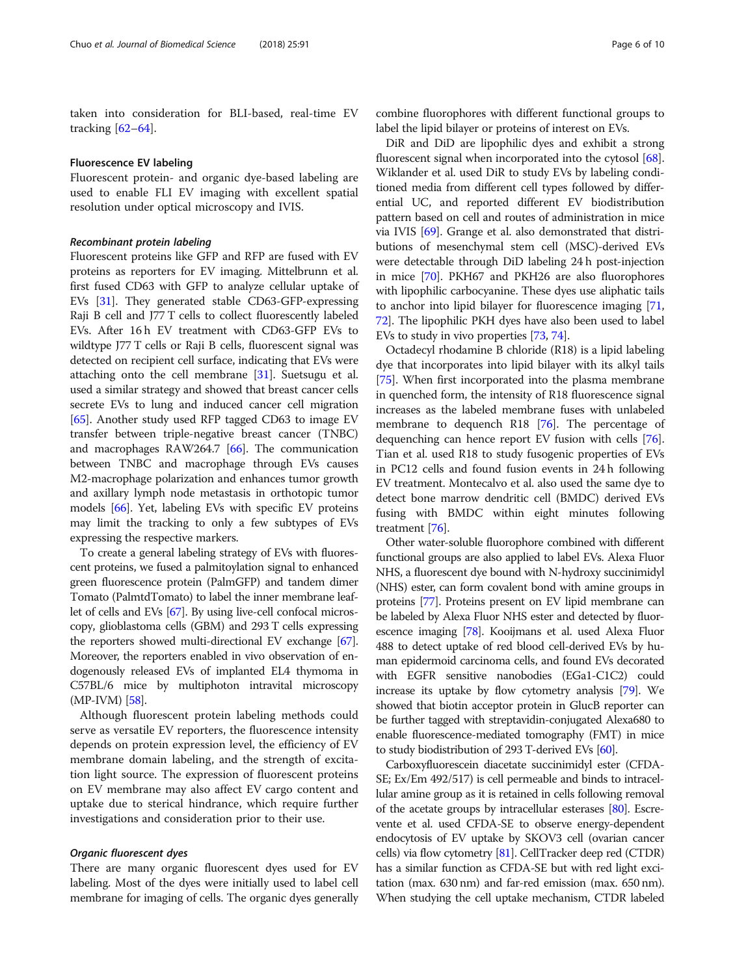taken into consideration for BLI-based, real-time EV tracking [\[62](#page-8-0)–[64\]](#page-8-0).

# Fluorescence EV labeling

Fluorescent protein- and organic dye-based labeling are used to enable FLI EV imaging with excellent spatial resolution under optical microscopy and IVIS.

#### Recombinant protein labeling

Fluorescent proteins like GFP and RFP are fused with EV proteins as reporters for EV imaging. Mittelbrunn et al. first fused CD63 with GFP to analyze cellular uptake of EVs [[31](#page-8-0)]. They generated stable CD63-GFP-expressing Raji B cell and J77 T cells to collect fluorescently labeled EVs. After 16 h EV treatment with CD63-GFP EVs to wildtype J77 T cells or Raji B cells, fluorescent signal was detected on recipient cell surface, indicating that EVs were attaching onto the cell membrane [[31](#page-8-0)]. Suetsugu et al. used a similar strategy and showed that breast cancer cells secrete EVs to lung and induced cancer cell migration [[65](#page-8-0)]. Another study used RFP tagged CD63 to image EV transfer between triple-negative breast cancer (TNBC) and macrophages RAW264.7 [[66](#page-8-0)]. The communication between TNBC and macrophage through EVs causes M2-macrophage polarization and enhances tumor growth and axillary lymph node metastasis in orthotopic tumor models [[66](#page-8-0)]. Yet, labeling EVs with specific EV proteins may limit the tracking to only a few subtypes of EVs expressing the respective markers.

To create a general labeling strategy of EVs with fluorescent proteins, we fused a palmitoylation signal to enhanced green fluorescence protein (PalmGFP) and tandem dimer Tomato (PalmtdTomato) to label the inner membrane leaflet of cells and EVs [[67](#page-8-0)]. By using live-cell confocal microscopy, glioblastoma cells (GBM) and 293 T cells expressing the reporters showed multi-directional EV exchange [\[67](#page-8-0)]. Moreover, the reporters enabled in vivo observation of endogenously released EVs of implanted EL4 thymoma in C57BL/6 mice by multiphoton intravital microscopy (MP-IVM) [[58](#page-8-0)].

Although fluorescent protein labeling methods could serve as versatile EV reporters, the fluorescence intensity depends on protein expression level, the efficiency of EV membrane domain labeling, and the strength of excitation light source. The expression of fluorescent proteins on EV membrane may also affect EV cargo content and uptake due to sterical hindrance, which require further investigations and consideration prior to their use.

# Organic fluorescent dyes

There are many organic fluorescent dyes used for EV labeling. Most of the dyes were initially used to label cell membrane for imaging of cells. The organic dyes generally

combine fluorophores with different functional groups to label the lipid bilayer or proteins of interest on EVs.

DiR and DiD are lipophilic dyes and exhibit a strong fluorescent signal when incorporated into the cytosol [[68](#page-8-0)]. Wiklander et al. used DiR to study EVs by labeling conditioned media from different cell types followed by differential UC, and reported different EV biodistribution pattern based on cell and routes of administration in mice via IVIS [[69](#page-8-0)]. Grange et al. also demonstrated that distributions of mesenchymal stem cell (MSC)-derived EVs were detectable through DiD labeling 24 h post-injection in mice [\[70\]](#page-8-0). PKH67 and PKH26 are also fluorophores with lipophilic carbocyanine. These dyes use aliphatic tails to anchor into lipid bilayer for fluorescence imaging [[71](#page-8-0), [72](#page-9-0)]. The lipophilic PKH dyes have also been used to label EVs to study in vivo properties [[73](#page-9-0), [74\]](#page-9-0).

Octadecyl rhodamine B chloride (R18) is a lipid labeling dye that incorporates into lipid bilayer with its alkyl tails [[75](#page-9-0)]. When first incorporated into the plasma membrane in quenched form, the intensity of R18 fluorescence signal increases as the labeled membrane fuses with unlabeled membrane to dequench R18 [\[76\]](#page-9-0). The percentage of dequenching can hence report EV fusion with cells [[76](#page-9-0)]. Tian et al. used R18 to study fusogenic properties of EVs in PC12 cells and found fusion events in 24 h following EV treatment. Montecalvo et al. also used the same dye to detect bone marrow dendritic cell (BMDC) derived EVs fusing with BMDC within eight minutes following treatment [[76](#page-9-0)].

Other water-soluble fluorophore combined with different functional groups are also applied to label EVs. Alexa Fluor NHS, a fluorescent dye bound with N-hydroxy succinimidyl (NHS) ester, can form covalent bond with amine groups in proteins [\[77\]](#page-9-0). Proteins present on EV lipid membrane can be labeled by Alexa Fluor NHS ester and detected by fluorescence imaging [\[78](#page-9-0)]. Kooijmans et al. used Alexa Fluor 488 to detect uptake of red blood cell-derived EVs by human epidermoid carcinoma cells, and found EVs decorated with EGFR sensitive nanobodies (EGa1-C1C2) could increase its uptake by flow cytometry analysis [\[79](#page-9-0)]. We showed that biotin acceptor protein in GlucB reporter can be further tagged with streptavidin-conjugated Alexa680 to enable fluorescence-mediated tomography (FMT) in mice to study biodistribution of 293 T-derived EVs [\[60\]](#page-8-0).

Carboxyfluorescein diacetate succinimidyl ester (CFDA-SE; Ex/Em 492/517) is cell permeable and binds to intracellular amine group as it is retained in cells following removal of the acetate groups by intracellular esterases [\[80\]](#page-9-0). Escrevente et al. used CFDA-SE to observe energy-dependent endocytosis of EV uptake by SKOV3 cell (ovarian cancer cells) via flow cytometry [[81\]](#page-9-0). CellTracker deep red (CTDR) has a similar function as CFDA-SE but with red light excitation (max. 630 nm) and far-red emission (max. 650 nm). When studying the cell uptake mechanism, CTDR labeled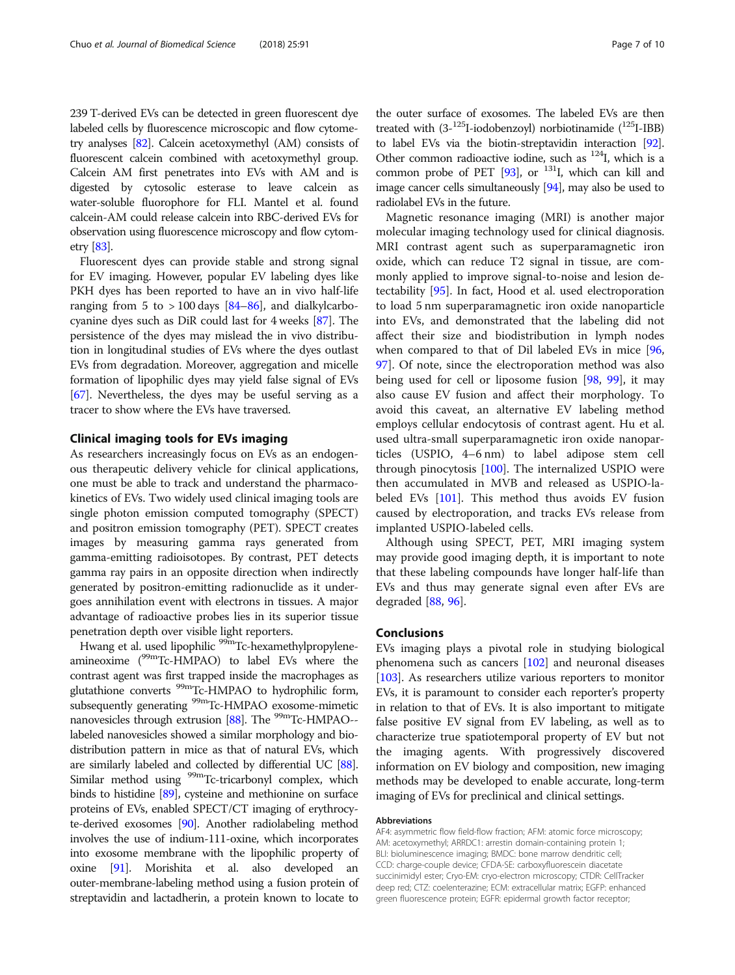239 T-derived EVs can be detected in green fluorescent dye labeled cells by fluorescence microscopic and flow cytometry analyses [\[82\]](#page-9-0). Calcein acetoxymethyl (AM) consists of fluorescent calcein combined with acetoxymethyl group. Calcein AM first penetrates into EVs with AM and is digested by cytosolic esterase to leave calcein as water-soluble fluorophore for FLI. Mantel et al. found calcein-AM could release calcein into RBC-derived EVs for observation using fluorescence microscopy and flow cytometry [\[83\]](#page-9-0).

Fluorescent dyes can provide stable and strong signal for EV imaging. However, popular EV labeling dyes like PKH dyes has been reported to have an in vivo half-life ranging from 5 to  $> 100$  days [\[84](#page-9-0)–[86](#page-9-0)], and dialkylcarbocyanine dyes such as DiR could last for 4 weeks [[87](#page-9-0)]. The persistence of the dyes may mislead the in vivo distribution in longitudinal studies of EVs where the dyes outlast EVs from degradation. Moreover, aggregation and micelle formation of lipophilic dyes may yield false signal of EVs [[67](#page-8-0)]. Nevertheless, the dyes may be useful serving as a tracer to show where the EVs have traversed.

# Clinical imaging tools for EVs imaging

As researchers increasingly focus on EVs as an endogenous therapeutic delivery vehicle for clinical applications, one must be able to track and understand the pharmacokinetics of EVs. Two widely used clinical imaging tools are single photon emission computed tomography (SPECT) and positron emission tomography (PET). SPECT creates images by measuring gamma rays generated from gamma-emitting radioisotopes. By contrast, PET detects gamma ray pairs in an opposite direction when indirectly generated by positron-emitting radionuclide as it undergoes annihilation event with electrons in tissues. A major advantage of radioactive probes lies in its superior tissue penetration depth over visible light reporters.

Hwang et al. used lipophilic <sup>99m</sup>Tc-hexamethylpropyleneamineoxime (99mTc-HMPAO) to label EVs where the contrast agent was first trapped inside the macrophages as glutathione converts <sup>99m</sup>Tc-HMPAO to hydrophilic form, subsequently generating <sup>99m</sup>Tc-HMPAO exosome-mimetic nanovesicles through extrusion [[88](#page-9-0)]. The <sup>99m</sup>Tc-HMPAO-labeled nanovesicles showed a similar morphology and biodistribution pattern in mice as that of natural EVs, which are similarly labeled and collected by differential UC [\[88](#page-9-0)]. Similar method using <sup>99m</sup>Tc-tricarbonyl complex, which binds to histidine [\[89](#page-9-0)], cysteine and methionine on surface proteins of EVs, enabled SPECT/CT imaging of erythrocyte-derived exosomes [\[90\]](#page-9-0). Another radiolabeling method involves the use of indium-111-oxine, which incorporates into exosome membrane with the lipophilic property of oxine [\[91](#page-9-0)]. Morishita et al. also developed an outer-membrane-labeling method using a fusion protein of streptavidin and lactadherin, a protein known to locate to the outer surface of exosomes. The labeled EVs are then treated with  $(3-125I-iodobenzoyl)$  norbiotinamide  $(^{125}I-IBB)$ to label EVs via the biotin-streptavidin interaction [\[92](#page-9-0)]. Other common radioactive iodine, such as  $^{124}$ I, which is a common probe of PET  $[93]$  $[93]$  $[93]$ , or  $^{131}$ I, which can kill and image cancer cells simultaneously [\[94\]](#page-9-0), may also be used to radiolabel EVs in the future.

Magnetic resonance imaging (MRI) is another major molecular imaging technology used for clinical diagnosis. MRI contrast agent such as superparamagnetic iron oxide, which can reduce T2 signal in tissue, are commonly applied to improve signal-to-noise and lesion detectability [\[95](#page-9-0)]. In fact, Hood et al. used electroporation to load 5 nm superparamagnetic iron oxide nanoparticle into EVs, and demonstrated that the labeling did not affect their size and biodistribution in lymph nodes when compared to that of Dil labeled EVs in mice [[96](#page-9-0), [97\]](#page-9-0). Of note, since the electroporation method was also being used for cell or liposome fusion [[98,](#page-9-0) [99\]](#page-9-0), it may also cause EV fusion and affect their morphology. To avoid this caveat, an alternative EV labeling method employs cellular endocytosis of contrast agent. Hu et al. used ultra-small superparamagnetic iron oxide nanoparticles (USPIO, 4–6 nm) to label adipose stem cell through pinocytosis [[100\]](#page-9-0). The internalized USPIO were then accumulated in MVB and released as USPIO-labeled EVs [[101\]](#page-9-0). This method thus avoids EV fusion caused by electroporation, and tracks EVs release from implanted USPIO-labeled cells.

Although using SPECT, PET, MRI imaging system may provide good imaging depth, it is important to note that these labeling compounds have longer half-life than EVs and thus may generate signal even after EVs are degraded  $[88, 96]$  $[88, 96]$  $[88, 96]$ .

# Conclusions

EVs imaging plays a pivotal role in studying biological phenomena such as cancers [\[102\]](#page-9-0) and neuronal diseases [[103](#page-9-0)]. As researchers utilize various reporters to monitor EVs, it is paramount to consider each reporter's property in relation to that of EVs. It is also important to mitigate false positive EV signal from EV labeling, as well as to characterize true spatiotemporal property of EV but not the imaging agents. With progressively discovered information on EV biology and composition, new imaging methods may be developed to enable accurate, long-term imaging of EVs for preclinical and clinical settings.

#### Abbreviations

AF4: asymmetric flow field-flow fraction; AFM: atomic force microscopy; AM: acetoxymethyl; ARRDC1: arrestin domain-containing protein 1; BLI: bioluminescence imaging; BMDC: bone marrow dendritic cell; CCD: charge-couple device; CFDA-SE: carboxyfluorescein diacetate succinimidyl ester; Cryo-EM: cryo-electron microscopy; CTDR: CellTracker deep red; CTZ: coelenterazine; ECM: extracellular matrix; EGFP: enhanced green fluorescence protein; EGFR: epidermal growth factor receptor;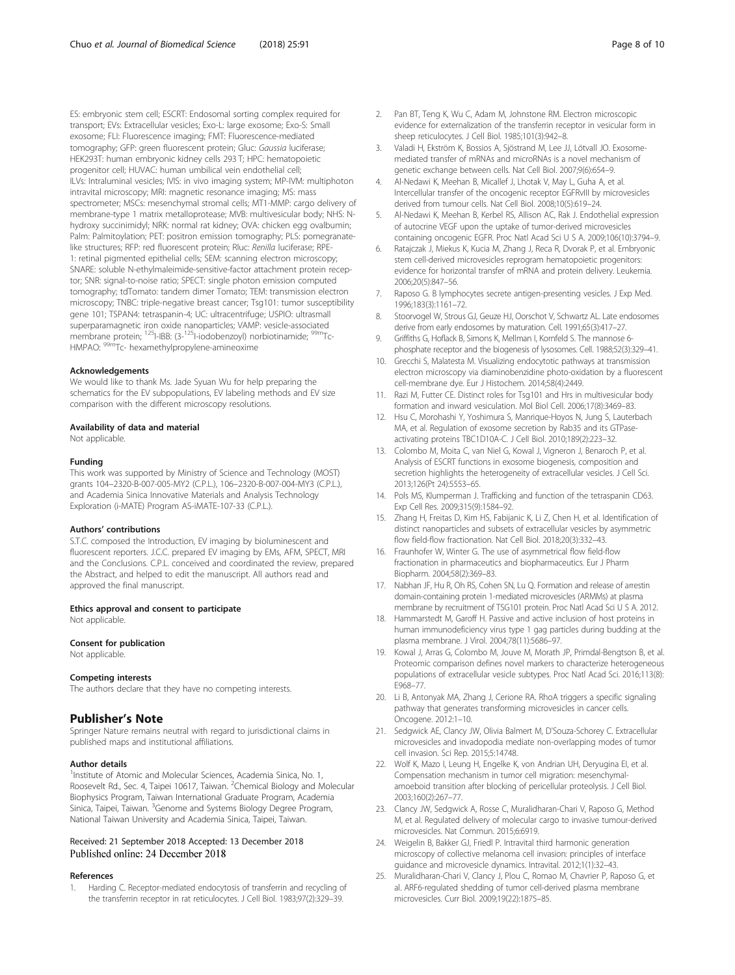<span id="page-7-0"></span>ES: embryonic stem cell; ESCRT: Endosomal sorting complex required for transport; EVs: Extracellular vesicles; Exo-L: large exosome; Exo-S: Small exosome; FLI: Fluorescence imaging; FMT: Fluorescence-mediated tomography; GFP: green fluorescent protein; Gluc: Gaussia luciferase; HEK293T: human embryonic kidney cells 293 T; HPC: hematopoietic progenitor cell; HUVAC: human umbilical vein endothelial cell; ILVs: Intraluminal vesicles; IVIS: in vivo imaging system; MP-IVM: multiphoton intravital microscopy; MRI: magnetic resonance imaging; MS: mass spectrometer; MSCs: mesenchymal stromal cells; MT1-MMP: cargo delivery of membrane-type 1 matrix metalloprotease; MVB: multivesicular body; NHS: Nhydroxy succinimidyl; NRK: normal rat kidney; OVA: chicken egg ovalbumin; Palm: Palmitoylation; PET: positron emission tomography; PLS: pomegranatelike structures; RFP: red fluorescent protein; Rluc: Renilla luciferase; RPE-1: retinal pigmented epithelial cells; SEM: scanning electron microscopy; SNARE: soluble N-ethylmaleimide-sensitive-factor attachment protein receptor; SNR: signal-to-noise ratio; SPECT: single photon emission computed tomography; tdTomato: tandem dimer Tomato; TEM: transmission electron microscopy; TNBC: triple-negative breast cancer; Tsg101: tumor susceptibility gene 101; TSPAN4: tetraspanin-4; UC: ultracentrifuge; USPIO: ultrasmall superparamagnetic iron oxide nanoparticles; VAMP: vesicle-associated membrane protein; <sup>125</sup>I-IBB: (3-<sup>125</sup>I-iodobenzoyl) norbiotinamide; <sup>99m</sup>Tc-HMPAO: 99mTc- hexamethylpropylene-amineoxime

#### Acknowledgements

We would like to thank Ms. Jade Syuan Wu for help preparing the schematics for the EV subpopulations, EV labeling methods and EV size comparison with the different microscopy resolutions.

#### Availability of data and material

Not applicable.

# Funding

This work was supported by Ministry of Science and Technology (MOST) grants 104–2320-B-007-005-MY2 (C.P.L.), 106–2320-B-007-004-MY3 (C.P.L.), and Academia Sinica Innovative Materials and Analysis Technology Exploration (i-MATE) Program AS-iMATE-107-33 (C.P.L.).

## Authors' contributions

S.T.C. composed the Introduction, EV imaging by bioluminescent and fluorescent reporters. J.C.C. prepared EV imaging by EMs, AFM, SPECT, MRI and the Conclusions. C.P.L. conceived and coordinated the review, prepared the Abstract, and helped to edit the manuscript. All authors read and approved the final manuscript.

# Ethics approval and consent to participate

Not applicable.

#### Consent for publication

Not applicable.

#### Competing interests

The authors declare that they have no competing interests.

# Publisher's Note

Springer Nature remains neutral with regard to jurisdictional claims in published maps and institutional affiliations.

#### Author details

<sup>1</sup>Institute of Atomic and Molecular Sciences, Academia Sinica, No. 1, Roosevelt Rd., Sec. 4, Taipei 10617, Taiwan. <sup>2</sup>Chemical Biology and Molecular Biophysics Program, Taiwan International Graduate Program, Academia Sinica, Taipei, Taiwan. <sup>3</sup>Genome and Systems Biology Degree Program, National Taiwan University and Academia Sinica, Taipei, Taiwan.

# Received: 21 September 2018 Accepted: 13 December 2018 Published online: 24 December 2018

## References

1. Harding C. Receptor-mediated endocytosis of transferrin and recycling of the transferrin receptor in rat reticulocytes. J Cell Biol. 1983;97(2):329–39.

- 3. Valadi H, Ekström K, Bossios A, Sjöstrand M, Lee JJ, Lötvall JO. Exosomemediated transfer of mRNAs and microRNAs is a novel mechanism of genetic exchange between cells. Nat Cell Biol. 2007;9(6):654–9.
- 4. Al-Nedawi K, Meehan B, Micallef J, Lhotak V, May L, Guha A, et al. Intercellular transfer of the oncogenic receptor EGFRvIII by microvesicles derived from tumour cells. Nat Cell Biol. 2008;10(5):619–24.
- 5. Al-Nedawi K, Meehan B, Kerbel RS, Allison AC, Rak J. Endothelial expression of autocrine VEGF upon the uptake of tumor-derived microvesicles containing oncogenic EGFR. Proc Natl Acad Sci U S A. 2009;106(10):3794–9.
- 6. Ratajczak J, Miekus K, Kucia M, Zhang J, Reca R, Dvorak P, et al. Embryonic stem cell-derived microvesicles reprogram hematopoietic progenitors: evidence for horizontal transfer of mRNA and protein delivery. Leukemia. 2006;20(5):847–56.
- 7. Raposo G. B lymphocytes secrete antigen-presenting vesicles. J Exp Med. 1996;183(3):1161–72.
- 8. Stoorvogel W, Strous GJ, Geuze HJ, Oorschot V, Schwartz AL. Late endosomes derive from early endosomes by maturation. Cell. 1991;65(3):417–27.
- 9. Griffiths G, Hoflack B, Simons K, Mellman I, Kornfeld S. The mannose 6 phosphate receptor and the biogenesis of lysosomes. Cell. 1988;52(3):329–41.
- 10. Grecchi S, Malatesta M. Visualizing endocytotic pathways at transmission electron microscopy via diaminobenzidine photo-oxidation by a fluorescent cell-membrane dye. Eur J Histochem. 2014;58(4):2449.
- 11. Razi M, Futter CE, Distinct roles for Tsg101 and Hrs in multivesicular body formation and inward vesiculation. Mol Biol Cell. 2006;17(8):3469–83.
- 12. Hsu C, Morohashi Y, Yoshimura S, Manrique-Hoyos N, Jung S, Lauterbach MA, et al. Regulation of exosome secretion by Rab35 and its GTPaseactivating proteins TBC1D10A-C. J Cell Biol. 2010;189(2):223–32.
- 13. Colombo M, Moita C, van Niel G, Kowal J, Vigneron J, Benaroch P, et al. Analysis of ESCRT functions in exosome biogenesis, composition and secretion highlights the heterogeneity of extracellular vesicles. J Cell Sci. 2013;126(Pt 24):5553–65.
- 14. Pols MS, Klumperman J. Trafficking and function of the tetraspanin CD63. Exp Cell Res. 2009;315(9):1584–92.
- 15. Zhang H, Freitas D, Kim HS, Fabijanic K, Li Z, Chen H, et al. Identification of distinct nanoparticles and subsets of extracellular vesicles by asymmetric flow field-flow fractionation. Nat Cell Biol. 2018;20(3):332–43.
- 16. Fraunhofer W, Winter G. The use of asymmetrical flow field-flow fractionation in pharmaceutics and biopharmaceutics. Eur J Pharm Biopharm. 2004;58(2):369–83.
- 17. Nabhan JF, Hu R, Oh RS, Cohen SN, Lu Q. Formation and release of arrestin domain-containing protein 1-mediated microvesicles (ARMMs) at plasma membrane by recruitment of TSG101 protein. Proc Natl Acad Sci U S A. 2012.
- 18. Hammarstedt M, Garoff H. Passive and active inclusion of host proteins in human immunodeficiency virus type 1 gag particles during budding at the plasma membrane. J Virol. 2004;78(11):5686–97.
- 19. Kowal J, Arras G, Colombo M, Jouve M, Morath JP, Primdal-Bengtson B, et al. Proteomic comparison defines novel markers to characterize heterogeneous populations of extracellular vesicle subtypes. Proc Natl Acad Sci. 2016;113(8): E968–77.
- 20. Li B, Antonyak MA, Zhang J, Cerione RA. RhoA triggers a specific signaling pathway that generates transforming microvesicles in cancer cells. Oncogene. 2012:1–10.
- 21. Sedgwick AE, Clancy JW, Olivia Balmert M, D'Souza-Schorey C. Extracellular microvesicles and invadopodia mediate non-overlapping modes of tumor cell invasion. Sci Rep. 2015;5:14748.
- 22. Wolf K, Mazo I, Leung H, Engelke K, von Andrian UH, Deryugina EI, et al. Compensation mechanism in tumor cell migration: mesenchymalamoeboid transition after blocking of pericellular proteolysis. J Cell Biol. 2003;160(2):267–77.
- 23. Clancy JW, Sedgwick A, Rosse C, Muralidharan-Chari V, Raposo G, Method M, et al. Regulated delivery of molecular cargo to invasive tumour-derived microvesicles. Nat Commun. 2015;6:6919.
- 24. Weigelin B, Bakker GJ, Friedl P. Intravital third harmonic generation microscopy of collective melanoma cell invasion: principles of interface guidance and microvesicle dynamics. Intravital. 2012;1(1):32–43.
- 25. Muralidharan-Chari V, Clancy J, Plou C, Romao M, Chavrier P, Raposo G, et al. ARF6-regulated shedding of tumor cell-derived plasma membrane microvesicles. Curr Biol. 2009;19(22):1875–85.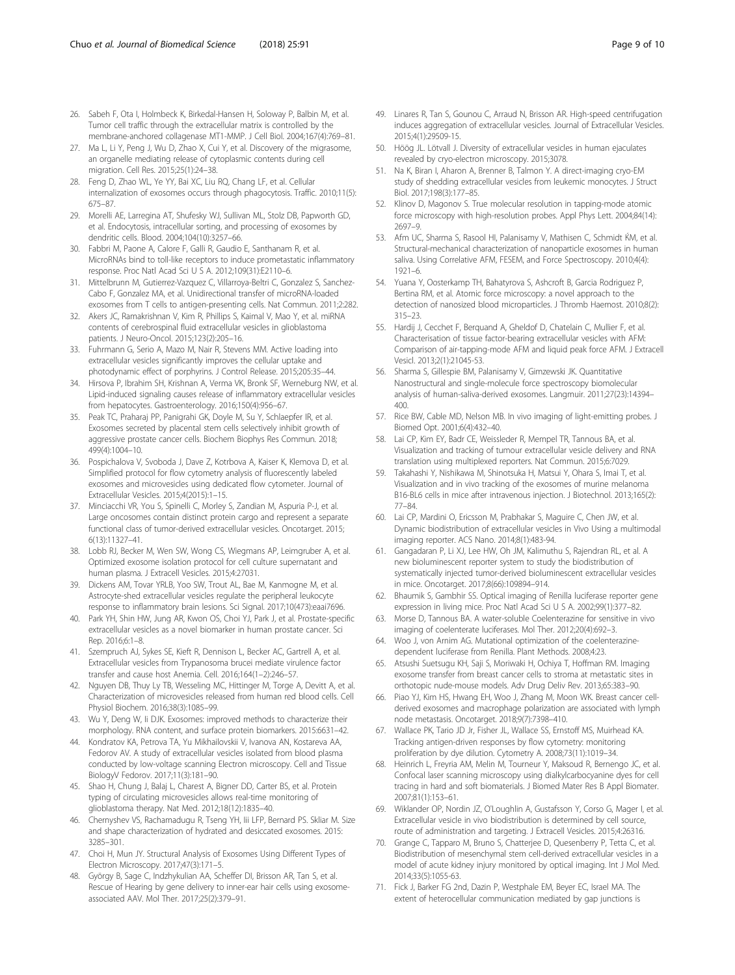- <span id="page-8-0"></span>26. Sabeh F, Ota I, Holmbeck K, Birkedal-Hansen H, Soloway P, Balbin M, et al. Tumor cell traffic through the extracellular matrix is controlled by the membrane-anchored collagenase MT1-MMP. J Cell Biol. 2004;167(4):769–81.
- 27. Ma L, Li Y, Peng J, Wu D, Zhao X, Cui Y, et al. Discovery of the migrasome, an organelle mediating release of cytoplasmic contents during cell migration. Cell Res. 2015;25(1):24–38.
- 28. Feng D, Zhao WL, Ye YY, Bai XC, Liu RQ, Chang LF, et al. Cellular internalization of exosomes occurs through phagocytosis. Traffic. 2010;11(5): 675–87.
- 29. Morelli AE, Larregina AT, Shufesky WJ, Sullivan ML, Stolz DB, Papworth GD, et al. Endocytosis, intracellular sorting, and processing of exosomes by dendritic cells. Blood. 2004;104(10):3257–66.
- 30. Fabbri M, Paone A, Calore F, Galli R, Gaudio E, Santhanam R, et al. MicroRNAs bind to toll-like receptors to induce prometastatic inflammatory response. Proc Natl Acad Sci U S A. 2012;109(31):E2110–6.
- 31. Mittelbrunn M, Gutierrez-Vazquez C, Villarroya-Beltri C, Gonzalez S, Sanchez-Cabo F, Gonzalez MA, et al. Unidirectional transfer of microRNA-loaded exosomes from T cells to antigen-presenting cells. Nat Commun. 2011;2:282.
- 32. Akers JC, Ramakrishnan V, Kim R, Phillips S, Kaimal V, Mao Y, et al. miRNA contents of cerebrospinal fluid extracellular vesicles in glioblastoma patients. J Neuro-Oncol. 2015;123(2):205–16.
- 33. Fuhrmann G, Serio A, Mazo M, Nair R, Stevens MM. Active loading into extracellular vesicles significantly improves the cellular uptake and photodynamic effect of porphyrins. J Control Release. 2015;205:35–44.
- 34. Hirsova P, Ibrahim SH, Krishnan A, Verma VK, Bronk SF, Werneburg NW, et al. Lipid-induced signaling causes release of inflammatory extracellular vesicles from hepatocytes. Gastroenterology. 2016;150(4):956–67.
- 35. Peak TC, Praharaj PP, Panigrahi GK, Doyle M, Su Y, Schlaepfer IR, et al. Exosomes secreted by placental stem cells selectively inhibit growth of aggressive prostate cancer cells. Biochem Biophys Res Commun. 2018; 499(4):1004–10.
- 36. Pospichalova V, Svoboda J, Dave Z, Kotrbova A, Kaiser K, Klemova D, et al. Simplified protocol for flow cytometry analysis of fluorescently labeled exosomes and microvesicles using dedicated flow cytometer. Journal of Extracellular Vesicles. 2015;4(2015):1–15.
- 37. Minciacchi VR, You S, Spinelli C, Morley S, Zandian M, Aspuria P-J, et al. Large oncosomes contain distinct protein cargo and represent a separate functional class of tumor-derived extracellular vesicles. Oncotarget. 2015; 6(13):11327–41.
- 38. Lobb RJ, Becker M, Wen SW, Wong CS, Wiegmans AP, Leimgruber A, et al. Optimized exosome isolation protocol for cell culture supernatant and human plasma. J Extracell Vesicles. 2015;4:27031.
- 39. Dickens AM, Tovar YRLB, Yoo SW, Trout AL, Bae M, Kanmogne M, et al. Astrocyte-shed extracellular vesicles regulate the peripheral leukocyte response to inflammatory brain lesions. Sci Signal. 2017;10(473):eaai7696.
- 40. Park YH, Shin HW, Jung AR, Kwon OS, Choi YJ, Park J, et al. Prostate-specific extracellular vesicles as a novel biomarker in human prostate cancer. Sci Rep. 2016;6:1–8.
- 41. Szempruch AJ, Sykes SE, Kieft R, Dennison L, Becker AC, Gartrell A, et al. Extracellular vesicles from Trypanosoma brucei mediate virulence factor transfer and cause host Anemia. Cell. 2016;164(1–2):246–57.
- 42. Nguyen DB, Thuy Ly TB, Wesseling MC, Hittinger M, Torge A, Devitt A, et al. Characterization of microvesicles released from human red blood cells. Cell Physiol Biochem. 2016;38(3):1085–99.
- 43. Wu Y, Deng W, Ii DJK. Exosomes: improved methods to characterize their morphology. RNA content, and surface protein biomarkers. 2015:6631–42.
- 44. Kondratov KA, Petrova TA, Yu Mikhailovskii V, Ivanova AN, Kostareva AA, Fedorov AV. A study of extracellular vesicles isolated from blood plasma conducted by low-voltage scanning Electron microscopy. Cell and Tissue BiologyV Fedorov. 2017;11(3):181–90.
- 45. Shao H, Chung J, Balaj L, Charest A, Bigner DD, Carter BS, et al. Protein typing of circulating microvesicles allows real-time monitoring of glioblastoma therapy. Nat Med. 2012;18(12):1835–40.
- 46. Chernyshev VS, Rachamadugu R, Tseng YH, Iii LFP, Bernard PS. Skliar M. Size and shape characterization of hydrated and desiccated exosomes. 2015: 3285–301.
- 47. Choi H, Mun JY. Structural Analysis of Exosomes Using Different Types of Electron Microscopy. 2017;47(3):171–5.
- 48. György B, Sage C, Indzhykulian AA, Scheffer DI, Brisson AR, Tan S, et al. Rescue of Hearing by gene delivery to inner-ear hair cells using exosomeassociated AAV. Mol Ther. 2017;25(2):379–91.
- 49. Linares R, Tan S, Gounou C, Arraud N, Brisson AR. High-speed centrifugation induces aggregation of extracellular vesicles. Journal of Extracellular Vesicles. 2015;4(1):29509-15.
- 50. Höög JL. Lötvall J. Diversity of extracellular vesicles in human ejaculates revealed by cryo-electron microscopy. 2015;3078.
- 51. Na K, Biran I, Aharon A, Brenner B, Talmon Y. A direct-imaging cryo-EM study of shedding extracellular vesicles from leukemic monocytes. J Struct Biol. 2017;198(3):177–85.
- 52. Klinov D, Magonov S. True molecular resolution in tapping-mode atomic force microscopy with high-resolution probes. Appl Phys Lett. 2004;84(14): 2697–9.
- 53. Afm UC, Sharma S, Rasool HI, Palanisamy V, Mathisen C, Schmidt ЌM, et al. Structural-mechanical characterization of nanoparticle exosomes in human saliva. Using Correlative AFM, FESEM, and Force Spectroscopy. 2010;4(4): 1921–6.
- 54. Yuana Y, Oosterkamp TH, Bahatyrova S, Ashcroft B, Garcia Rodriguez P, Bertina RM, et al. Atomic force microscopy: a novel approach to the detection of nanosized blood microparticles. J Thromb Haemost. 2010;8(2): 315–23.
- 55. Hardij J, Cecchet F, Berquand A, Gheldof D, Chatelain C, Mullier F, et al. Characterisation of tissue factor-bearing extracellular vesicles with AFM: Comparison of air-tapping-mode AFM and liquid peak force AFM. J Extracell Vesicl. 2013;2(1):21045-53.
- 56. Sharma S, Gillespie BM, Palanisamy V, Gimzewski JK. Quantitative Nanostructural and single-molecule force spectroscopy biomolecular analysis of human-saliva-derived exosomes. Langmuir. 2011;27(23):14394– 400.
- 57. Rice BW, Cable MD, Nelson MB. In vivo imaging of light-emitting probes. J Biomed Opt. 2001;6(4):432–40.
- 58. Lai CP, Kim EY, Badr CE, Weissleder R, Mempel TR, Tannous BA, et al. Visualization and tracking of tumour extracellular vesicle delivery and RNA translation using multiplexed reporters. Nat Commun. 2015;6:7029.
- Takahashi Y, Nishikawa M, Shinotsuka H, Matsui Y, Ohara S, Imai T, et al. Visualization and in vivo tracking of the exosomes of murine melanoma B16-BL6 cells in mice after intravenous injection. J Biotechnol. 2013;165(2): 77–84.
- 60. Lai CP, Mardini O, Ericsson M, Prabhakar S, Maguire C, Chen JW, et al. Dynamic biodistribution of extracellular vesicles in Vivo Using a multimodal imaging reporter. ACS Nano. 2014;8(1):483-94.
- 61. Gangadaran P, Li XJ, Lee HW, Oh JM, Kalimuthu S, Rajendran RL, et al. A new bioluminescent reporter system to study the biodistribution of systematically injected tumor-derived bioluminescent extracellular vesicles in mice. Oncotarget. 2017;8(66):109894–914.
- 62. Bhaumik S, Gambhir SS. Optical imaging of Renilla luciferase reporter gene expression in living mice. Proc Natl Acad Sci U S A. 2002;99(1):377–82.
- 63. Morse D, Tannous BA. A water-soluble Coelenterazine for sensitive in vivo imaging of coelenterate luciferases. Mol Ther. 2012;20(4):692–3.
- 64. Woo J, von Arnim AG. Mutational optimization of the coelenterazinedependent luciferase from Renilla. Plant Methods. 2008;4:23.
- 65. Atsushi Suetsugu KH, Saji S, Moriwaki H, Ochiya T, Hoffman RM. Imaging exosome transfer from breast cancer cells to stroma at metastatic sites in orthotopic nude-mouse models. Adv Drug Deliv Rev. 2013;65:383–90.
- 66. Piao YJ, Kim HS, Hwang EH, Woo J, Zhang M, Moon WK. Breast cancer cellderived exosomes and macrophage polarization are associated with lymph node metastasis. Oncotarget. 2018;9(7):7398–410.
- 67. Wallace PK, Tario JD Jr, Fisher JL, Wallace SS, Ernstoff MS, Muirhead KA. Tracking antigen-driven responses by flow cytometry: monitoring proliferation by dye dilution. Cytometry A. 2008;73(11):1019–34.
- 68. Heinrich L, Freyria AM, Melin M, Tourneur Y, Maksoud R, Bernengo JC, et al. Confocal laser scanning microscopy using dialkylcarbocyanine dyes for cell tracing in hard and soft biomaterials. J Biomed Mater Res B Appl Biomater. 2007;81(1):153–61.
- 69. Wiklander OP, Nordin JZ, O'Loughlin A, Gustafsson Y, Corso G, Mager I, et al. Extracellular vesicle in vivo biodistribution is determined by cell source, route of administration and targeting. J Extracell Vesicles. 2015;4:26316.
- 70. Grange C, Tapparo M, Bruno S, Chatterjee D, Quesenberry P, Tetta C, et al. Biodistribution of mesenchymal stem cell-derived extracellular vesicles in a model of acute kidney injury monitored by optical imaging. Int J Mol Med. 2014;33(5):1055-63.
- 71. Fick J, Barker FG 2nd, Dazin P, Westphale EM, Beyer EC, Israel MA. The extent of heterocellular communication mediated by gap junctions is